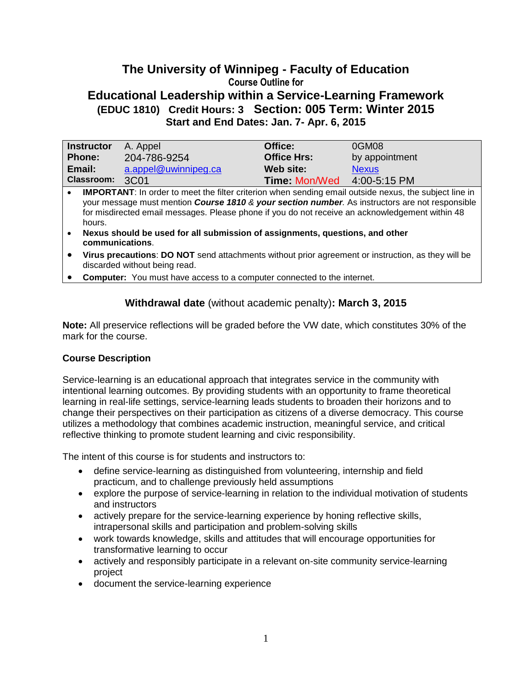# **The University of Winnipeg - Faculty of Education Course Outline for Educational Leadership within a Service-Learning Framework (EDUC 1810) Credit Hours: 3 Section: 005 Term: Winter 2015 Start and End Dates: Jan. 7- Apr. 6, 2015**

| <b>Instructor</b> | A. Appel             | Office:              | 0GM08          |
|-------------------|----------------------|----------------------|----------------|
| <b>Phone:</b>     | 204-786-9254         | <b>Office Hrs:</b>   | by appointment |
| Email:            | a.appel@uwinnipeg.ca | Web site:            | <b>Nexus</b>   |
| Classroom: 3C01   |                      | <b>Time: Mon/Wed</b> | 4:00-5:15 PM   |

**IMPORTANT:** In order to meet the filter criterion when sending email outside nexus, the subject line in your message must mention *Course 1810 & your section number.* As instructors are not responsible for misdirected email messages. Please phone if you do not receive an acknowledgement within 48 hours.

 **Nexus should be used for all submission of assignments, questions, and other communications**.

- **Virus precautions**: **DO NOT** send attachments without prior agreement or instruction, as they will be discarded without being read.
- **Computer:** You must have access to a computer connected to the internet.

# **Withdrawal date** (without academic penalty)**: March 3, 2015**

**Note:** All preservice reflections will be graded before the VW date, which constitutes 30% of the mark for the course.

## **Course Description**

Service-learning is an educational approach that integrates service in the community with intentional learning outcomes. By providing students with an opportunity to frame theoretical learning in real-life settings, service-learning leads students to broaden their horizons and to change their perspectives on their participation as citizens of a diverse democracy. This course utilizes a methodology that combines academic instruction, meaningful service, and critical reflective thinking to promote student learning and civic responsibility.

The intent of this course is for students and instructors to:

- define service-learning as distinguished from volunteering, internship and field practicum, and to challenge previously held assumptions
- explore the purpose of service-learning in relation to the individual motivation of students and instructors
- actively prepare for the service-learning experience by honing reflective skills, intrapersonal skills and participation and problem-solving skills
- work towards knowledge, skills and attitudes that will encourage opportunities for transformative learning to occur
- actively and responsibly participate in a relevant on-site community service-learning project
- document the service-learning experience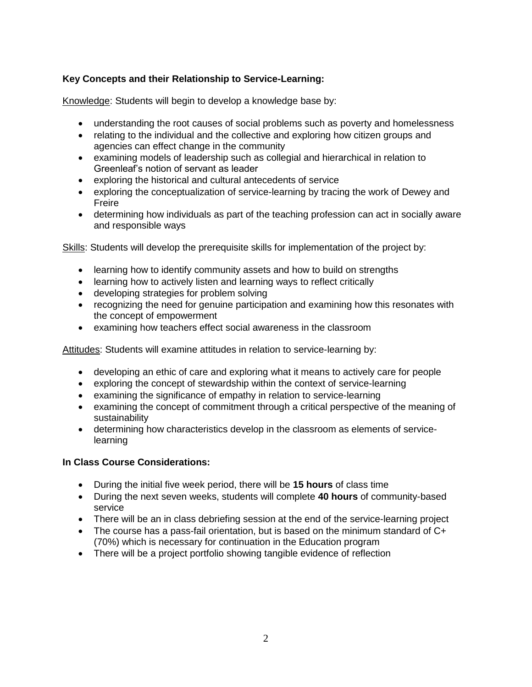# **Key Concepts and their Relationship to Service-Learning:**

Knowledge: Students will begin to develop a knowledge base by:

- understanding the root causes of social problems such as poverty and homelessness
- relating to the individual and the collective and exploring how citizen groups and agencies can effect change in the community
- examining models of leadership such as collegial and hierarchical in relation to Greenleaf's notion of servant as leader
- exploring the historical and cultural antecedents of service
- exploring the conceptualization of service-learning by tracing the work of Dewey and Freire
- determining how individuals as part of the teaching profession can act in socially aware and responsible ways

Skills: Students will develop the prerequisite skills for implementation of the project by:

- learning how to identify community assets and how to build on strengths
- learning how to actively listen and learning ways to reflect critically
- developing strategies for problem solving
- recognizing the need for genuine participation and examining how this resonates with the concept of empowerment
- examining how teachers effect social awareness in the classroom

Attitudes: Students will examine attitudes in relation to service-learning by:

- developing an ethic of care and exploring what it means to actively care for people
- exploring the concept of stewardship within the context of service-learning
- examining the significance of empathy in relation to service-learning
- examining the concept of commitment through a critical perspective of the meaning of sustainability
- determining how characteristics develop in the classroom as elements of servicelearning

## **In Class Course Considerations:**

- During the initial five week period, there will be **15 hours** of class time
- During the next seven weeks, students will complete **40 hours** of community-based service
- There will be an in class debriefing session at the end of the service-learning project
- The course has a pass-fail orientation, but is based on the minimum standard of C+ (70%) which is necessary for continuation in the Education program
- There will be a project portfolio showing tangible evidence of reflection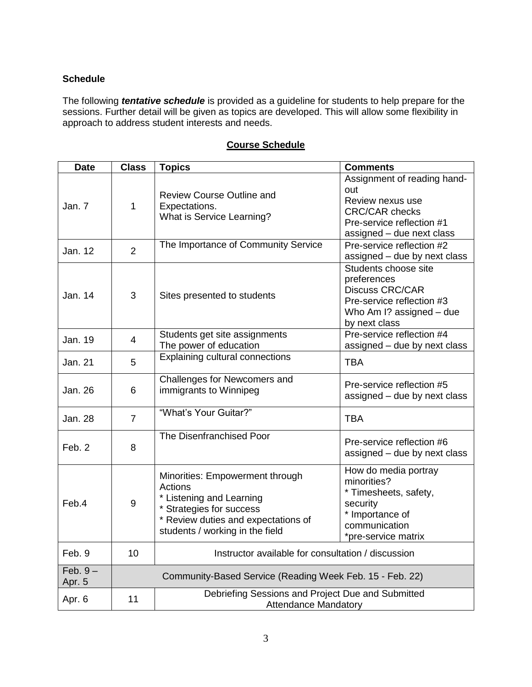# **Schedule**

The following *tentative schedule* is provided as a guideline for students to help prepare for the sessions. Further detail will be given as topics are developed. This will allow some flexibility in approach to address student interests and needs.

| <b>Date</b>          | <b>Class</b>                                             | <b>Topics</b>                                                                                                                                                                | <b>Comments</b>                                                                                                                           |
|----------------------|----------------------------------------------------------|------------------------------------------------------------------------------------------------------------------------------------------------------------------------------|-------------------------------------------------------------------------------------------------------------------------------------------|
| Jan. 7               | $\mathbf{1}$                                             | <b>Review Course Outline and</b><br>Expectations.<br>What is Service Learning?                                                                                               | Assignment of reading hand-<br>out<br>Review nexus use<br><b>CRC/CAR checks</b><br>Pre-service reflection #1<br>assigned - due next class |
| Jan. 12              | $\overline{2}$                                           | The Importance of Community Service                                                                                                                                          | Pre-service reflection #2<br>assigned - due by next class                                                                                 |
| Jan. 14              | 3                                                        | Sites presented to students                                                                                                                                                  | Students choose site<br>preferences<br><b>Discuss CRC/CAR</b><br>Pre-service reflection #3<br>Who Am I? assigned - due<br>by next class   |
| Jan. 19              | $\overline{4}$                                           | Students get site assignments<br>The power of education                                                                                                                      | Pre-service reflection #4<br>assigned - due by next class                                                                                 |
| Jan. 21              | 5                                                        | <b>Explaining cultural connections</b>                                                                                                                                       | <b>TBA</b>                                                                                                                                |
| Jan. 26              | 6                                                        | Challenges for Newcomers and<br>immigrants to Winnipeg                                                                                                                       | Pre-service reflection #5<br>assigned - due by next class                                                                                 |
| <b>Jan. 28</b>       | $\overline{7}$                                           | "What's Your Guitar?"                                                                                                                                                        | <b>TBA</b>                                                                                                                                |
| Feb. 2               | 8                                                        | The Disenfranchised Poor                                                                                                                                                     | Pre-service reflection #6<br>assigned - due by next class                                                                                 |
| Feb.4                | 9                                                        | Minorities: Empowerment through<br>Actions<br>* Listening and Learning<br>* Strategies for success<br>* Review duties and expectations of<br>students / working in the field | How do media portray<br>minorities?<br>* Timesheets, safety,<br>security<br>* Importance of<br>communication<br>*pre-service matrix       |
| Feb. 9               | 10                                                       | Instructor available for consultation / discussion                                                                                                                           |                                                                                                                                           |
| $Feb. 9 -$<br>Apr. 5 | Community-Based Service (Reading Week Feb. 15 - Feb. 22) |                                                                                                                                                                              |                                                                                                                                           |
| Apr. 6               | 11                                                       | Debriefing Sessions and Project Due and Submitted<br><b>Attendance Mandatory</b>                                                                                             |                                                                                                                                           |

# **Course Schedule**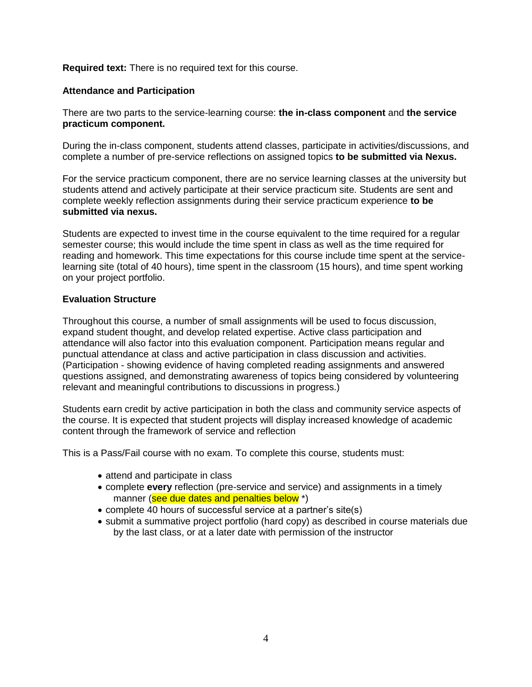#### **Required text:** There is no required text for this course.

#### **Attendance and Participation**

There are two parts to the service-learning course: **the in-class component** and **the service practicum component.**

During the in-class component, students attend classes, participate in activities/discussions, and complete a number of pre-service reflections on assigned topics **to be submitted via Nexus.**

For the service practicum component, there are no service learning classes at the university but students attend and actively participate at their service practicum site. Students are sent and complete weekly reflection assignments during their service practicum experience **to be submitted via nexus.**

Students are expected to invest time in the course equivalent to the time required for a regular semester course; this would include the time spent in class as well as the time required for reading and homework. This time expectations for this course include time spent at the servicelearning site (total of 40 hours), time spent in the classroom (15 hours), and time spent working on your project portfolio.

#### **Evaluation Structure**

Throughout this course, a number of small assignments will be used to focus discussion, expand student thought, and develop related expertise. Active class participation and attendance will also factor into this evaluation component. Participation means regular and punctual attendance at class and active participation in class discussion and activities. (Participation - showing evidence of having completed reading assignments and answered questions assigned, and demonstrating awareness of topics being considered by volunteering relevant and meaningful contributions to discussions in progress.)

Students earn credit by active participation in both the class and community service aspects of the course. It is expected that student projects will display increased knowledge of academic content through the framework of service and reflection

This is a Pass/Fail course with no exam. To complete this course, students must:

- attend and participate in class
- complete **every** reflection (pre-service and service) and assignments in a timely manner (see due dates and penalties below<sup>\*</sup>)
- complete 40 hours of successful service at a partner's site(s)
- submit a summative project portfolio (hard copy) as described in course materials due by the last class, or at a later date with permission of the instructor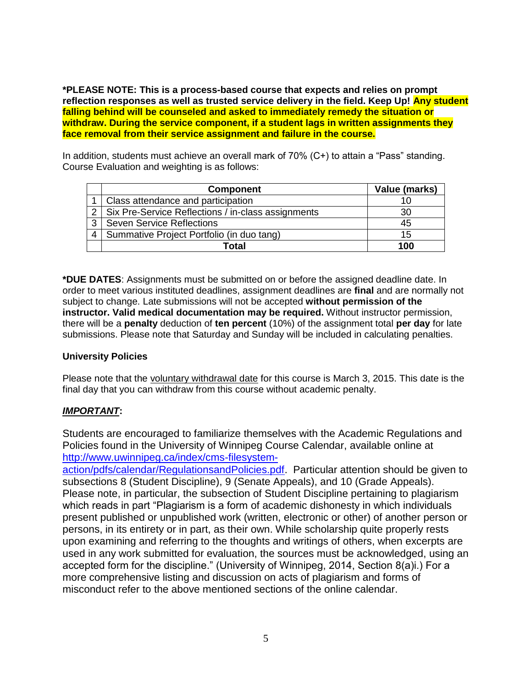**\*PLEASE NOTE: This is a process-based course that expects and relies on prompt reflection responses as well as trusted service delivery in the field. Keep Up! Any student falling behind will be counseled and asked to immediately remedy the situation or withdraw. During the service component, if a student lags in written assignments they face removal from their service assignment and failure in the course.**

In addition, students must achieve an overall mark of 70% (C+) to attain a "Pass" standing. Course Evaluation and weighting is as follows:

|   | <b>Component</b>                                       | Value (marks) |
|---|--------------------------------------------------------|---------------|
|   | Class attendance and participation                     | 10            |
|   | 2   Six Pre-Service Reflections / in-class assignments | 30            |
| 3 | <b>Seven Service Reflections</b>                       | 45            |
|   | Summative Project Portfolio (in duo tang)              | 15            |
|   | Total                                                  | 100           |

**\*DUE DATES**: Assignments must be submitted on or before the assigned deadline date. In order to meet various instituted deadlines, assignment deadlines are **final** and are normally not subject to change. Late submissions will not be accepted **without permission of the instructor. Valid medical documentation may be required.** Without instructor permission, there will be a **penalty** deduction of **ten percent** (10%) of the assignment total **per day** for late submissions. Please note that Saturday and Sunday will be included in calculating penalties.

## **University Policies**

Please note that the voluntary withdrawal date for this course is March 3, 2015. This date is the final day that you can withdraw from this course without academic penalty.

# *IMPORTANT***:**

Students are encouraged to familiarize themselves with the Academic Regulations and Policies found in the University of Winnipeg Course Calendar, available online at [http://www.uwinnipeg.ca/index/cms-filesystem-](http://www.uwinnipeg.ca/index/cms-filesystem-action/pdfs/calendar/RegulationsandPolicies.pdf)

[action/pdfs/calendar/RegulationsandPolicies.pdf.](http://www.uwinnipeg.ca/index/cms-filesystem-action/pdfs/calendar/RegulationsandPolicies.pdf) Particular attention should be given to subsections 8 (Student Discipline), 9 (Senate Appeals), and 10 (Grade Appeals). Please note, in particular, the subsection of Student Discipline pertaining to plagiarism which reads in part "Plagiarism is a form of academic dishonesty in which individuals present published or unpublished work (written, electronic or other) of another person or persons, in its entirety or in part, as their own. While scholarship quite properly rests upon examining and referring to the thoughts and writings of others, when excerpts are used in any work submitted for evaluation, the sources must be acknowledged, using an accepted form for the discipline." (University of Winnipeg, 2014, Section 8(a)i.) For a more comprehensive listing and discussion on acts of plagiarism and forms of misconduct refer to the above mentioned sections of the online calendar.